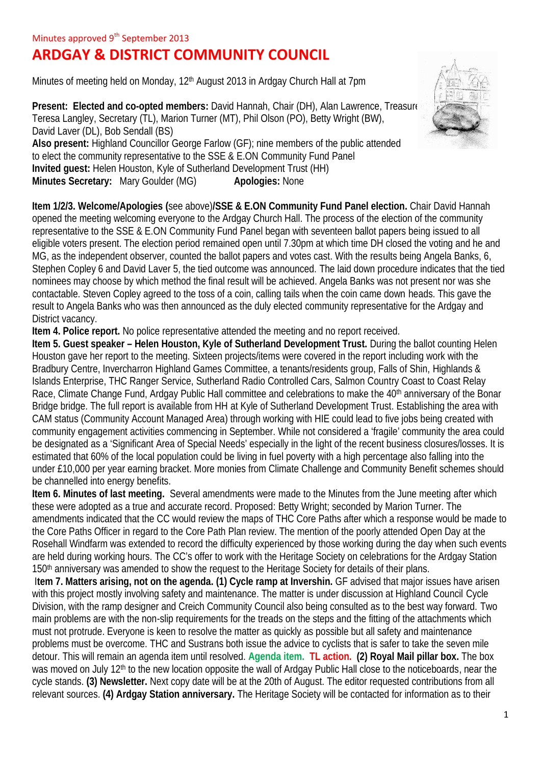## **ARDGAY & DISTRICT COMMUNITY COUNCIL**

Minutes of meeting held on Monday, 12<sup>th</sup> August 2013 in Ardgay Church Hall at 7pm

**Present: Elected and co-opted members: David Hannah, Chair (DH), Alan Lawrence, Treasure** Teresa Langley, Secretary (TL), Marion Turner (MT), Phil Olson (PO), Betty Wright (BW), David Laver (DL), Bob Sendall (BS) **Also present:** Highland Councillor George Farlow (GF); nine members of the public attended to elect the community representative to the SSE & E.ON Community Fund Panel **Invited guest:** Helen Houston, Kyle of Sutherland Development Trust (HH) **Minutes Secretary:** Mary Goulder (MG) **Apologies:** None



**Item 1/2/3. Welcome/Apologies (**see above)**/SSE & E.ON Community Fund Panel election.** Chair David Hannah opened the meeting welcoming everyone to the Ardgay Church Hall. The process of the election of the community representative to the SSE & E.ON Community Fund Panel began with seventeen ballot papers being issued to all eligible voters present. The election period remained open until 7.30pm at which time DH closed the voting and he and MG, as the independent observer, counted the ballot papers and votes cast. With the results being Angela Banks, 6, Stephen Copley 6 and David Laver 5, the tied outcome was announced. The laid down procedure indicates that the tied nominees may choose by which method the final result will be achieved. Angela Banks was not present nor was she contactable. Steven Copley agreed to the toss of a coin, calling tails when the coin came down heads. This gave the result to Angela Banks who was then announced as the duly elected community representative for the Ardgay and District vacancy.

**Item 4. Police report.** No police representative attended the meeting and no report received.

**Item 5. Guest speaker – Helen Houston, Kyle of Sutherland Development Trust.** During the ballot counting Helen Houston gave her report to the meeting. Sixteen projects/items were covered in the report including work with the Bradbury Centre, Invercharron Highland Games Committee, a tenants/residents group, Falls of Shin, Highlands & Islands Enterprise, THC Ranger Service, Sutherland Radio Controlled Cars, Salmon Country Coast to Coast Relay Race, Climate Change Fund, Ardgay Public Hall committee and celebrations to make the 40<sup>th</sup> anniversary of the Bonar Bridge bridge. The full report is available from HH at Kyle of Sutherland Development Trust. Establishing the area with CAM status (Community Account Managed Area) through working with HIE could lead to five jobs being created with community engagement activities commencing in September. While not considered a 'fragile' community the area could be designated as a 'Significant Area of Special Needs' especially in the light of the recent business closures/losses. It is estimated that 60% of the local population could be living in fuel poverty with a high percentage also falling into the under £10,000 per year earning bracket. More monies from Climate Challenge and Community Benefit schemes should be channelled into energy benefits.

**Item 6. Minutes of last meeting.** Several amendments were made to the Minutes from the June meeting after which these were adopted as a true and accurate record. Proposed: Betty Wright; seconded by Marion Turner. The amendments indicated that the CC would review the maps of THC Core Paths after which a response would be made to the Core Paths Officer in regard to the Core Path Plan review. The mention of the poorly attended Open Day at the Rosehall Windfarm was extended to record the difficulty experienced by those working during the day when such events are held during working hours. The CC's offer to work with the Heritage Society on celebrations for the Ardgay Station 150<sup>th</sup> anniversary was amended to show the request to the Heritage Society for details of their plans.

I**tem 7. Matters arising, not on the agenda. (1) Cycle ramp at Invershin.** GF advised that major issues have arisen with this project mostly involving safety and maintenance. The matter is under discussion at Highland Council Cycle Division, with the ramp designer and Creich Community Council also being consulted as to the best way forward. Two main problems are with the non-slip requirements for the treads on the steps and the fitting of the attachments which must not protrude. Everyone is keen to resolve the matter as quickly as possible but all safety and maintenance problems must be overcome. THC and Sustrans both issue the advice to cyclists that is safer to take the seven mile detour. This will remain an agenda item until resolved. **Agenda item. TL action. (2) Royal Mail pillar box.** The box was moved on July 12<sup>th</sup> to the new location opposite the wall of Ardgay Public Hall close to the noticeboards, near the cycle stands. **(3) Newsletter.** Next copy date will be at the 20th of August. The editor requested contributions from all relevant sources. **(4) Ardgay Station anniversary.** The Heritage Society will be contacted for information as to their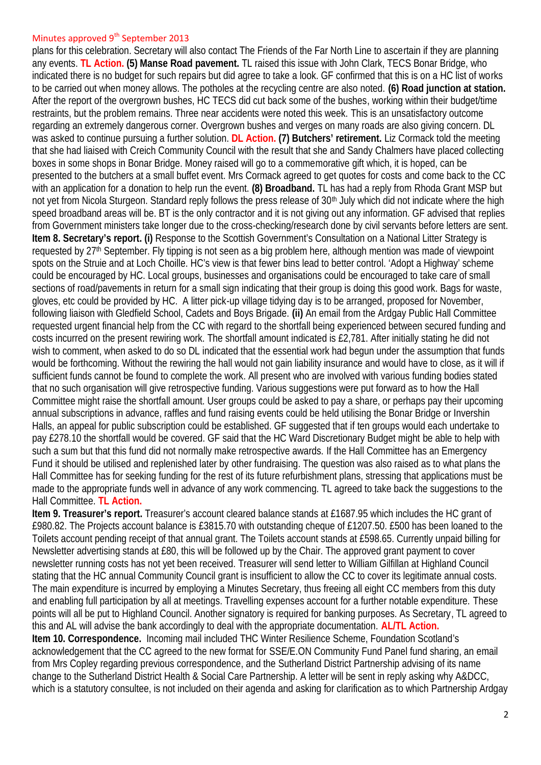## Minutes approved 9<sup>th</sup> September 2013

plans for this celebration. Secretary will also contact The Friends of the Far North Line to ascertain if they are planning any events. **TL Action. (5) Manse Road pavement.** TL raised this issue with John Clark, TECS Bonar Bridge, who indicated there is no budget for such repairs but did agree to take a look. GF confirmed that this is on a HC list of works to be carried out when money allows. The potholes at the recycling centre are also noted. **(6) Road junction at station.** After the report of the overgrown bushes, HC TECS did cut back some of the bushes, working within their budget/time restraints, but the problem remains. Three near accidents were noted this week. This is an unsatisfactory outcome regarding an extremely dangerous corner. Overgrown bushes and verges on many roads are also giving concern. DL was asked to continue pursuing a further solution. **DL Action. (7) Butchers' retirement.** Liz Cormack told the meeting that she had liaised with Creich Community Council with the result that she and Sandy Chalmers have placed collecting boxes in some shops in Bonar Bridge. Money raised will go to a commemorative gift which, it is hoped, can be presented to the butchers at a small buffet event. Mrs Cormack agreed to get quotes for costs and come back to the CC with an application for a donation to help run the event. **(8) Broadband.** TL has had a reply from Rhoda Grant MSP but not yet from Nicola Sturgeon. Standard reply follows the press release of 30<sup>th</sup> July which did not indicate where the high speed broadband areas will be. BT is the only contractor and it is not giving out any information. GF advised that replies from Government ministers take longer due to the cross-checking/research done by civil servants before letters are sent. **Item 8. Secretary's report. (i)** Response to the Scottish Government's Consultation on a National Litter Strategy is requested by 27<sup>th</sup> September. Fly tipping is not seen as a big problem here, although mention was made of viewpoint spots on the Struie and at Loch Choille. HC's view is that fewer bins lead to better control. 'Adopt a Highway' scheme could be encouraged by HC. Local groups, businesses and organisations could be encouraged to take care of small sections of road/pavements in return for a small sign indicating that their group is doing this good work. Bags for waste, gloves, etc could be provided by HC. A litter pick-up village tidying day is to be arranged, proposed for November, following liaison with Gledfield School, Cadets and Boys Brigade. **(ii)** An email from the Ardgay Public Hall Committee requested urgent financial help from the CC with regard to the shortfall being experienced between secured funding and costs incurred on the present rewiring work. The shortfall amount indicated is £2,781. After initially stating he did not wish to comment, when asked to do so DL indicated that the essential work had begun under the assumption that funds would be forthcoming. Without the rewiring the hall would not gain liability insurance and would have to close, as it will if sufficient funds cannot be found to complete the work. All present who are involved with various funding bodies stated that no such organisation will give retrospective funding. Various suggestions were put forward as to how the Hall Committee might raise the shortfall amount. User groups could be asked to pay a share, or perhaps pay their upcoming annual subscriptions in advance, raffles and fund raising events could be held utilising the Bonar Bridge or Invershin Halls, an appeal for public subscription could be established. GF suggested that if ten groups would each undertake to pay £278.10 the shortfall would be covered. GF said that the HC Ward Discretionary Budget might be able to help with such a sum but that this fund did not normally make retrospective awards. If the Hall Committee has an Emergency Fund it should be utilised and replenished later by other fundraising. The question was also raised as to what plans the Hall Committee has for seeking funding for the rest of its future refurbishment plans, stressing that applications must be made to the appropriate funds well in advance of any work commencing. TL agreed to take back the suggestions to the Hall Committee. **TL Action.**

**Item 9. Treasurer's report.** Treasurer's account cleared balance stands at £1687.95 which includes the HC grant of £980.82. The Projects account balance is £3815.70 with outstanding cheque of £1207.50. £500 has been loaned to the Toilets account pending receipt of that annual grant. The Toilets account stands at £598.65. Currently unpaid billing for Newsletter advertising stands at £80, this will be followed up by the Chair. The approved grant payment to cover newsletter running costs has not yet been received. Treasurer will send letter to William Gilfillan at Highland Council stating that the HC annual Community Council grant is insufficient to allow the CC to cover its legitimate annual costs. The main expenditure is incurred by employing a Minutes Secretary, thus freeing all eight CC members from this duty and enabling full participation by all at meetings. Travelling expenses account for a further notable expenditure. These points will all be put to Highland Council. Another signatory is required for banking purposes. As Secretary, TL agreed to this and AL will advise the bank accordingly to deal with the appropriate documentation. **AL/TL Action. Item 10. Correspondence.** Incoming mail included THC Winter Resilience Scheme, Foundation Scotland's acknowledgement that the CC agreed to the new format for SSE/E.ON Community Fund Panel fund sharing, an email from Mrs Copley regarding previous correspondence, and the Sutherland District Partnership advising of its name change to the Sutherland District Health & Social Care Partnership. A letter will be sent in reply asking why A&DCC, which is a statutory consultee, is not included on their agenda and asking for clarification as to which Partnership Ardgay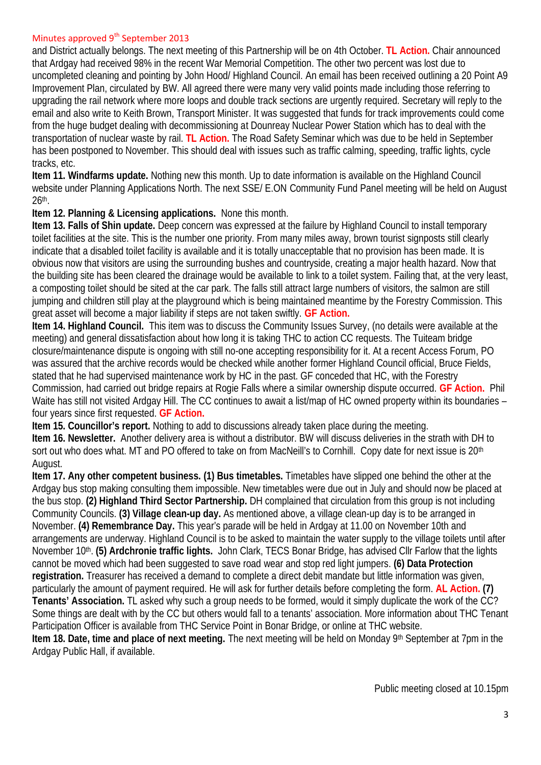## Minutes approved  $9<sup>th</sup>$  September 2013

and District actually belongs. The next meeting of this Partnership will be on 4th October. **TL Action.** Chair announced that Ardgay had received 98% in the recent War Memorial Competition. The other two percent was lost due to uncompleted cleaning and pointing by John Hood/ Highland Council. An email has been received outlining a 20 Point A9 Improvement Plan, circulated by BW. All agreed there were many very valid points made including those referring to upgrading the rail network where more loops and double track sections are urgently required. Secretary will reply to the email and also write to Keith Brown, Transport Minister. It was suggested that funds for track improvements could come from the huge budget dealing with decommissioning at Dounreay Nuclear Power Station which has to deal with the transportation of nuclear waste by rail. **TL Action.** The Road Safety Seminar which was due to be held in September has been postponed to November. This should deal with issues such as traffic calming, speeding, traffic lights, cycle tracks, etc.

**Item 11. Windfarms update.** Nothing new this month. Up to date information is available on the Highland Council website under Planning Applications North. The next SSE/ E.ON Community Fund Panel meeting will be held on August 26th .

**Item 12. Planning & Licensing applications.** None this month.

**Item 13. Falls of Shin update.** Deep concern was expressed at the failure by Highland Council to install temporary toilet facilities at the site. This is the number one priority. From many miles away, brown tourist signposts still clearly indicate that a disabled toilet facility is available and it is totally unacceptable that no provision has been made. It is obvious now that visitors are using the surrounding bushes and countryside, creating a major health hazard. Now that the building site has been cleared the drainage would be available to link to a toilet system. Failing that, at the very least, a composting toilet should be sited at the car park. The falls still attract large numbers of visitors, the salmon are still jumping and children still play at the playground which is being maintained meantime by the Forestry Commission. This great asset will become a major liability if steps are not taken swiftly. **GF Action.**

**Item 14. Highland Council.** This item was to discuss the Community Issues Survey, (no details were available at the meeting) and general dissatisfaction about how long it is taking THC to action CC requests. The Tuiteam bridge closure/maintenance dispute is ongoing with still no-one accepting responsibility for it. At a recent Access Forum, PO was assured that the archive records would be checked while another former Highland Council official, Bruce Fields, stated that he had supervised maintenance work by HC in the past. GF conceded that HC, with the Forestry Commission, had carried out bridge repairs at Rogie Falls where a similar ownership dispute occurred. **GF Action.** Phil Waite has still not visited Ardgay Hill. The CC continues to await a list/map of HC owned property within its boundaries – four years since first requested. **GF Action.**

**Item 15. Councillor's report.** Nothing to add to discussions already taken place during the meeting. **Item 16. Newsletter.** Another delivery area is without a distributor. BW will discuss deliveries in the strath with DH to sort out who does what. MT and PO offered to take on from MacNeill's to Cornhill. Copy date for next issue is 20<sup>th</sup> August.

**Item 17. Any other competent business. (1) Bus timetables.** Timetables have slipped one behind the other at the Ardgay bus stop making consulting them impossible. New timetables were due out in July and should now be placed at the bus stop. **(2) Highland Third Sector Partnership.** DH complained that circulation from this group is not including Community Councils. **(3) Village clean-up day.** As mentioned above, a village clean-up day is to be arranged in November. **(4) Remembrance Day.** This year's parade will be held in Ardgay at 11.00 on November 10th and arrangements are underway. Highland Council is to be asked to maintain the water supply to the village toilets until after November 10<sup>th</sup>. **(5) Ardchronie traffic lights.** John Clark, TECS Bonar Bridge, has advised ClIr Farlow that the lights cannot be moved which had been suggested to save road wear and stop red light jumpers. **(6) Data Protection registration.** Treasurer has received a demand to complete a direct debit mandate but little information was given, particularly the amount of payment required. He will ask for further details before completing the form. **AL Action. (7) Tenants' Association.** TL asked why such a group needs to be formed, would it simply duplicate the work of the CC? Some things are dealt with by the CC but others would fall to a tenants' association. More information about THC Tenant Participation Officer is available from THC Service Point in Bonar Bridge, or online at THC website. **Item 18. Date, time and place of next meeting.** The next meeting will be held on Monday 9th September at 7pm in the Ardgay Public Hall, if available.